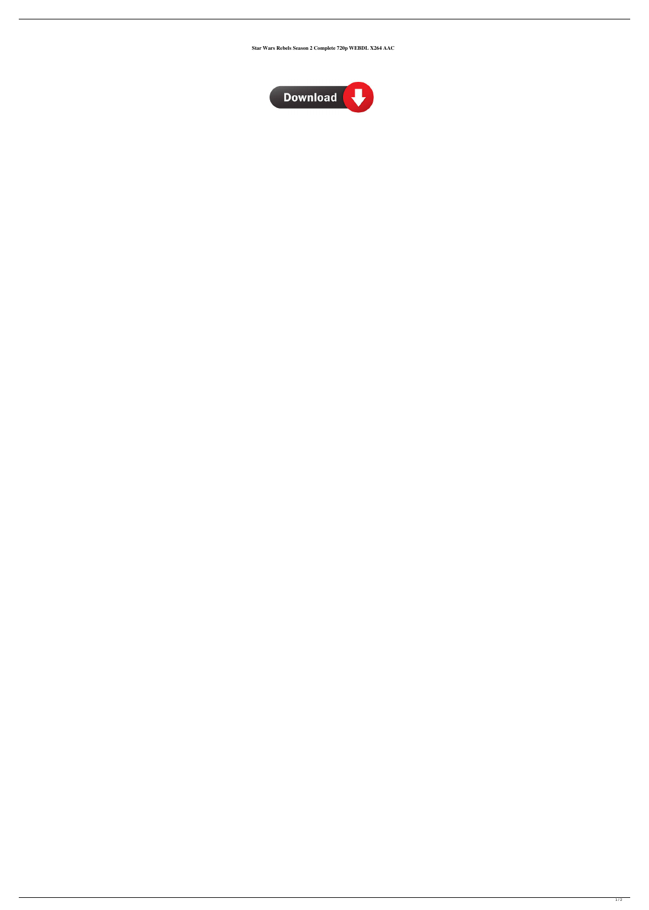**Star Wars Rebels Season 2 Complete 720p WEBDL X264 AAC**